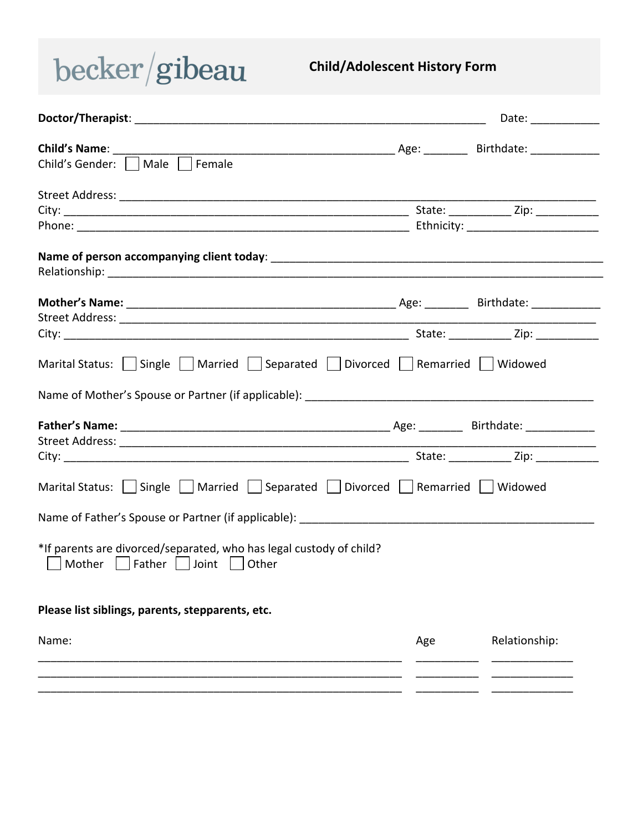## $becker/gibeau$

## **Child/Adolescent History Form**

|                                                                                                              |     | Date: $\frac{1}{\sqrt{1-\frac{1}{2}}\cdot\frac{1}{2}}$ |
|--------------------------------------------------------------------------------------------------------------|-----|--------------------------------------------------------|
| Child's Gender: Male<br>Female                                                                               |     |                                                        |
|                                                                                                              |     |                                                        |
|                                                                                                              |     |                                                        |
|                                                                                                              |     |                                                        |
|                                                                                                              |     |                                                        |
| Marital Status:     Single     Married     Separated     Divorced     Remarried     Widowed                  |     |                                                        |
|                                                                                                              |     |                                                        |
|                                                                                                              |     |                                                        |
|                                                                                                              |     |                                                        |
| Marital Status:     Single     Married     Separated     Divorced     Remarried     Widowed                  |     |                                                        |
|                                                                                                              |     |                                                        |
| *If parents are divorced/separated, who has legal custody of child?<br>Mother     Father     Joint     Other |     |                                                        |
| Please list siblings, parents, stepparents, etc.                                                             |     |                                                        |
| Name:                                                                                                        | Age | Relationship:                                          |
|                                                                                                              |     |                                                        |
|                                                                                                              |     |                                                        |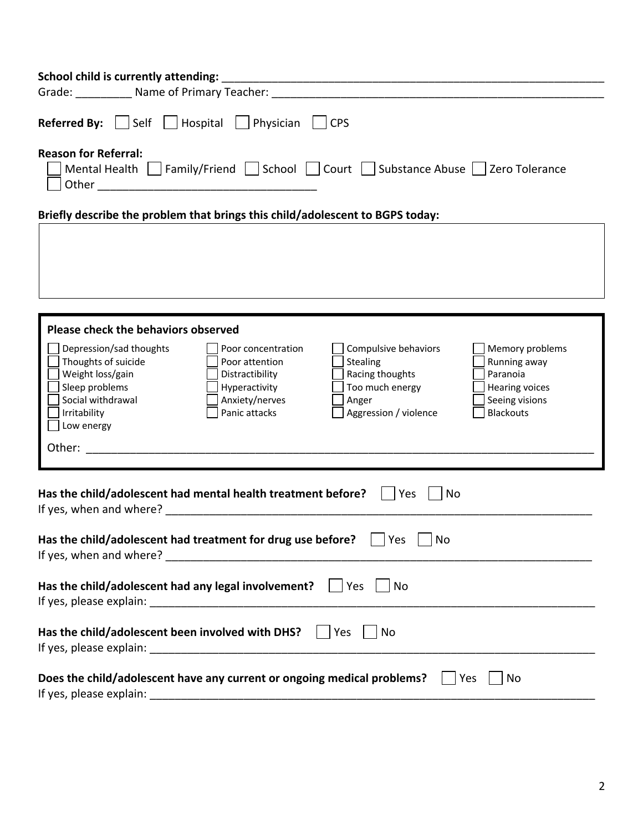| Self Hospital Physician<br><b>Referred By:</b><br><b>CPS</b><br><b>Reason for Referral:</b><br>Mental Health   Family/Friend   School   Court   Substance Abuse   Zero Tolerance                                                                                                                                                                                                                                                                                   |
|--------------------------------------------------------------------------------------------------------------------------------------------------------------------------------------------------------------------------------------------------------------------------------------------------------------------------------------------------------------------------------------------------------------------------------------------------------------------|
|                                                                                                                                                                                                                                                                                                                                                                                                                                                                    |
|                                                                                                                                                                                                                                                                                                                                                                                                                                                                    |
| Briefly describe the problem that brings this child/adolescent to BGPS today:                                                                                                                                                                                                                                                                                                                                                                                      |
|                                                                                                                                                                                                                                                                                                                                                                                                                                                                    |
|                                                                                                                                                                                                                                                                                                                                                                                                                                                                    |
|                                                                                                                                                                                                                                                                                                                                                                                                                                                                    |
|                                                                                                                                                                                                                                                                                                                                                                                                                                                                    |
|                                                                                                                                                                                                                                                                                                                                                                                                                                                                    |
|                                                                                                                                                                                                                                                                                                                                                                                                                                                                    |
| Please check the behaviors observed                                                                                                                                                                                                                                                                                                                                                                                                                                |
| Depression/sad thoughts<br>Compulsive behaviors<br>Memory problems<br>Poor concentration<br>Thoughts of suicide<br>Stealing<br>Running away<br>Poor attention<br>Racing thoughts<br>Weight loss/gain<br>Distractibility<br>Paranoia<br>Sleep problems<br>Too much energy<br>Hyperactivity<br><b>Hearing voices</b><br>Social withdrawal<br>Anxiety/nerves<br>Anger<br>Seeing visions<br><b>Blackouts</b><br>Panic attacks<br>Aggression / violence<br>Irritability |
| Low energy                                                                                                                                                                                                                                                                                                                                                                                                                                                         |
| Other:                                                                                                                                                                                                                                                                                                                                                                                                                                                             |
|                                                                                                                                                                                                                                                                                                                                                                                                                                                                    |
| Has the child/adolescent had mental health treatment before?<br>Yes<br>No                                                                                                                                                                                                                                                                                                                                                                                          |
| Has the child/adolescent had treatment for drug use before? $\Box$ Yes $\Box$ No                                                                                                                                                                                                                                                                                                                                                                                   |
| Has the child/adolescent had any legal involvement? $\Box$ Yes<br>No                                                                                                                                                                                                                                                                                                                                                                                               |
| Has the child/adolescent been involved with DHS?<br>Yes<br>No                                                                                                                                                                                                                                                                                                                                                                                                      |
| Does the child/adolescent have any current or ongoing medical problems?<br>Yes<br>No<br>If yes, please explain:                                                                                                                                                                                                                                                                                                                                                    |